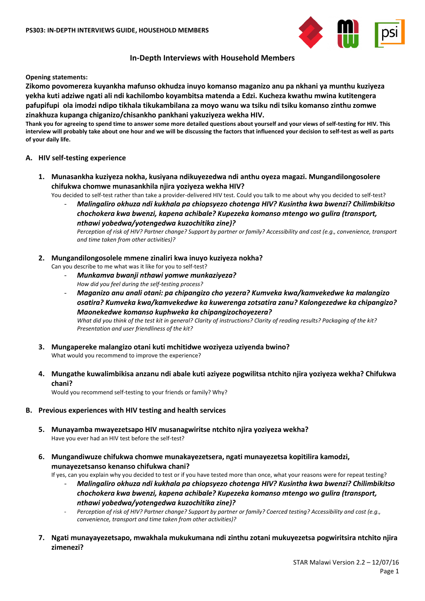

# **In-Depth Interviews with Household Members**

**Opening statements:** 

**Zikomo povomereza kuyankha mafunso okhudza inuyo komanso maganizo anu pa nkhani ya munthu kuziyeza yekha kuti adziwe ngati ali ndi kachilombo koyambitsa matenda a Edzi. Kucheza kwathu mwina kutitengera pafupifupi ola imodzi ndipo tikhala tikukambilana za moyo wanu wa tsiku ndi tsiku komanso zinthu zomwe zinakhuza kupanga chiganizo/chisankho pankhani yakuziyeza wekha HIV.**

**Thank you for agreeing to spend time to answer some more detailed questions about yourself and your views of self-testing for HIV. This interview will probably take about one hour and we will be discussing the factors that influenced your decision to self-test as well as parts of your daily life.**

### **A. HIV self-testing experience**

**1. Munasankha kuziyeza nokha, kusiyana ndikuyezedwa ndi anthu oyeza magazi. Mungandilongosolere chifukwa chomwe munasankhila njira yoziyeza wekha HIV?**

You decided to self-test rather than take a provider-delivered HIV test. Could you talk to me about why you decided to self-test? - *Malingaliro okhuza ndi kukhala pa chiopsyezo chotenga HIV? Kusintha kwa bwenzi? Chilimbikitso chochokera kwa bwenzi, kapena achibale? Kupezeka komanso mtengo wo gulira (transport,* 

*nthawi yobedwa/yotengedwa kuzochitika zine)?*

*Perception of risk of HIV? Partner change? Support by partner or family? Accessibility and cost (e.g., convenience, transport and time taken from other activities)?*

### **2. Mungandilongosolele mmene zinaliri kwa inuyo kuziyeza nokha?**

Can you describe to me what was it like for you to self-test?

- *Munkamva bwanji nthawi yomwe munkaziyeza? How did you feel during the self-testing process?*
- *Maganizo anu anali otani: pa chipangizo cho yezera? Kumveka kwa/kamvekedwe ka malangizo osatira? Kumveka kwa/kamvekedwe ka kuwerenga zotsatira zanu? Kalongezedwe ka chipangizo? Maonekedwe komanso kuphweka ka chipangizochoyezera? What did you think of the test kit in general? Clarity of instructions? Clarity of reading results? Packaging of the kit? Presentation and user friendliness of the kit?*
- **3. Mungapereke malangizo otani kuti mchitidwe woziyeza uziyenda bwino?** What would you recommend to improve the experience?
- **4. Mungathe kuwalimbikisa anzanu ndi abale kuti aziyeze pogwilitsa ntchito njira yoziyeza wekha? Chifukwa chani?**

Would you recommend self-testing to your friends or family? Why?

- **B. Previous experiences with HIV testing and health services**
	- **5. Munayamba mwayezetsapo HIV musanagwiritse ntchito njira yoziyeza wekha?** Have you ever had an HIV test before the self-test?
	- **6. Mungandiwuze chifukwa chomwe munakayezetsera, ngati munayezetsa kopitilira kamodzi, munayezetsanso kenanso chifukwa chani?**

If yes, can you explain why you decided to test or if you have tested more than once, what your reasons were for repeat testing?

- *Malingaliro okhuza ndi kukhala pa chiopsyezo chotenga HIV? Kusintha kwa bwenzi? Chilimbikitso chochokera kwa bwenzi, kapena achibale? Kupezeka komanso mtengo wo gulira (transport, nthawi yobedwa/yotengedwa kuzochitika zine)?*
- *Perception of risk of HIV? Partner change? Support by partner or family? Coerced testing? Accessibility and cost (e.g., convenience, transport and time taken from other activities)?*
- **7. Ngati munayayezetsapo, mwakhala mukukumana ndi zinthu zotani mukuyezetsa pogwiritsira ntchito njira zimenezi?**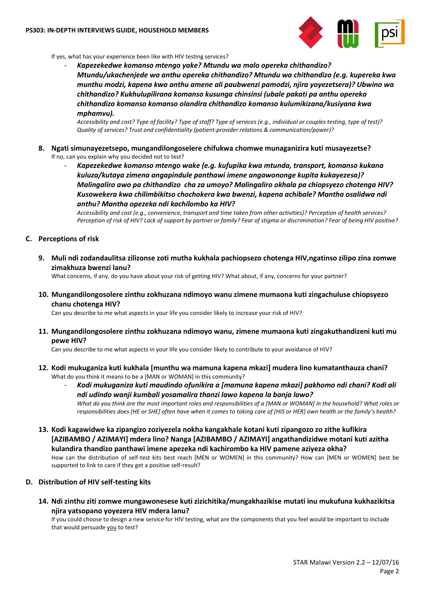

If yes, what has your experience been like with HIV testing services?

- *Kapezekedwe komanso mtengo yake? Mtundu wa malo opereka chithandizo? Mtundu/ukachenjede wa anthu opereka chithandizo? Mtundu wa chithandizo (e.g. kupereka kwa munthu modzi, kapena kwa anthu amene ali paubwenzi pamodzi, njira yoyezetsera)? Ubwino wa chithandizo? Kukhulupilirana komanso kusunga chinsinsi (ubale pakati pa anthu opereka chithandizo komanso komanso olandira chithandizo komanso kulumikizana/kusiyana kwa mphamvu).* 

*Accessibility and cost? Type of facility? Type of staff? Type of services (e.g., individual or couples testing, type of test)? Quality of services? Trust and confidentiality (patient-provider relations & communication/power)?*

- **8. Ngati simunayezetsepo, mungandilongoselere chifukwa chomwe munaganizira kuti musayezetse?** If no, can you explain why you decided not to test?
	- *Kapezekedwe komanso mtengo wake (e.g. kufupika kwa mtunda, transport, komanso kukana kuluza/kutaya zimena angapindule panthawi imene angawononge kupita kukayezesa)? Malingaliro awo pa chithandizo cha za umoyo? Malingaliro okhala pa chiopsyezo chotenga HIV? Kusowekera kwa chilimbikitso chochokera kwa bwenzi, kapena achibale? Mantha osalidwa ndi anthu? Mantha opezeka ndi kachilombo ka HIV?*

*Accessibility and cost (e.g., convenience, transport and time taken from other activities)? Perception of health services? Perception of risk of HIV? Lack of support by partner or family? Fear of stigma or discrimination? Fear of being HIV positive?*

### **C. Perceptions of risk**

**9. Muli ndi zodandaulitsa zilizonse zoti mutha kukhala pachiopsezo chotenga HIV,ngatinso zilipo zina zomwe zimakhuza bwenzi lanu?**

What concerns, if any, do you have about your risk of getting HIV? What about, if any, concerns for your partner?

**10. Mungandilongosolere zinthu zokhuzana ndimoyo wanu zimene mumaona kuti zingachuluse chiopsyezo chanu chotenga HIV?**

Can you describe to me what aspects in your life you consider likely to increase your risk of HIV?

**11. Mungandilongosolere zinthu zokhuzana ndimoyo wanu, zimene mumaona kuti zingakuthandizeni kuti mu pewe HIV?**

Can you describe to me what aspects in your life you consider likely to contribute to your avoidance of HIV?

- **12. Kodi mukuganiza kuti kukhala [munthu wa mamuna kapena mkazi] mudera lino kumatanthauza chani?**  What do you think it means to be a [MAN or WOMAN] in this community?
	- *Kodi mukuganiza kuti maudindo ofunikira a [mamuna kapena mkazi] pakhomo ndi chani? Kodi ali ndi udindo wanji kumbali yosamalira thanzi lawo kapena la banja lawo? What do you think are the most important roles and responsibilities of a [MAN or WOMAN] in the household? What roles or responsibilities does [HE or SHE] often have when it comes to taking care of [HIS or HER] own health or the family's health?*
- **13. Kodi kagawidwe ka zipangizo zoziyezela nokha kangakhale kotani kuti zipangozo zo zithe kufikira [AZIBAMBO / AZIMAYI] mdera lino? Nanga [AZIBAMBO / AZIMAYI] angathandizidwe motani kuti azitha kulandira thandizo panthawi imene apezeka ndi kachirombo ka HIV pamene aziyeza okha?** How can the distribution of self-test kits best reach [MEN or WOMEN] in this community? How can [MEN or WOMEN] best be supported to link to care if they get a positive self-result?

### **D. Distribution of HIV self-testing kits**

**14. Ndi zinthu ziti zomwe mungawonesese kuti zizichitika/mungakhazikise mutati inu mukufuna kukhazikitsa njira yatsopano yoyezera HIV mdera lanu?**

If you could choose to design a new service for HIV testing, what are the components that you feel would be important to include that would persuade you to test?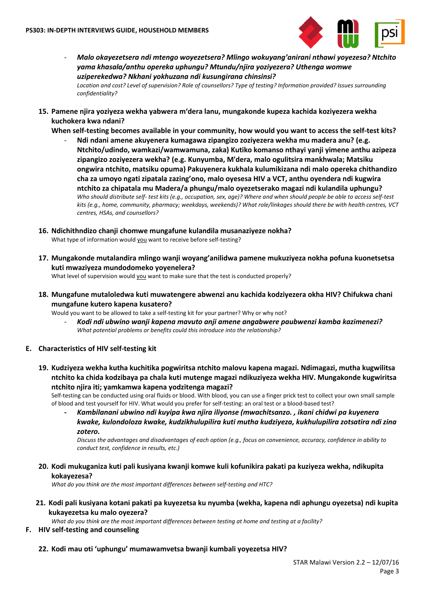

- *Malo okayezetsera ndi mtengo woyezetsera? Mlingo wokuyang'anirani nthawi yoyezesa? Ntchito yama khasala/anthu opereka uphungu? Mtundu/njira yoziyezera? Uthenga womwe uziperekedwa? Nkhani yokhuzana ndi kusungirana chinsinsi?*

*Location and cost? Level of supervision? Role of counsellors? Type of testing? Information provided? Issues surrounding confidentiality?* 

**15. Pamene njira yoziyeza wekha yabwera m'dera lanu, mungakonde kupeza kachida koziyezera wekha kuchokera kwa ndani?**

**When self-testing becomes available in your community, how would you want to access the self-test kits?** 

- **Ndi ndani amene akuyenera kumagawa zipangizo zoziyezera wekha mu madera anu? (e.g. Ntchito/udindo, wamkazi/wamwamuna, zaka) Kutiko komanso nthayi yanji yimene anthu azipeza zipangizo zoziyezera wekha? (e.g. Kunyumba, M'dera, malo ogulitsira mankhwala; Matsiku ongwira ntchito, matsiku opuma) Pakuyenera kukhala kulumikizana ndi malo opereka chithandizo cha za umoyo ngati zipatala zazing'ono, malo oyesesa HIV a VCT, anthu oyendera ndi kugwira ntchito za chipatala mu Madera/a phungu/malo oyezetserako magazi ndi kulandila uphungu?** *Who should distribute self- test kits (e.g., occupation, sex, age)? Where and when should people be able to access self-test kits (e.g., home, community, pharmacy; weekdays, weekends)? What role/linkages should there be with health centres, VCT centres, HSAs, and counsellors?*

### **16. Ndichithndizo chanji chomwe mungafune kulandila musanaziyeze nokha?**

What type of information would you want to receive before self-testing?

**17. Mungakonde mutalandira mlingo wanji woyang'anilidwa pamene mukuziyeza nokha pofuna kuonetsetsa kuti mwaziyeza mundodomeko yoyenelera?** 

What level of supervision would you want to make sure that the test is conducted properly?

**18. Mungafune mutaloledwa kuti muwatengere abwenzi anu kachida kodziyezera okha HIV? Chifukwa chani mungafune kutero kapena kusatero?** 

Would you want to be allowed to take a self-testing kit for your partner? Why or why not?

- *Kodi ndi ubwino wanji kapena mavuto anji amene angabwere paubwenzi kamba kazimenezi? What potential problems or benefits could this introduce into the relationship?*

## **E. Characteristics of HIV self-testing kit**

**19. Kudziyeza wekha kutha kuchitika pogwiritsa ntchito malovu kapena magazi. Ndimagazi, mutha kugwilitsa ntchito ka chida kodzibaya pa chala kuti mutenge magazi ndikuziyeza wekha HIV. Mungakonde kugwiritsa ntchito njira iti; yamkamwa kapena yodzitenga magazi?**

Self-testing can be conducted using oral fluids or blood. With blood, you can use a finger prick test to collect your own small sample of blood and test yourself for HIV. What would you prefer for self-testing: an oral test or a blood-based test?

**-** *Kambilanani ubwino ndi kuyipa kwa njira iliyonse (mwachitsanzo. , ikani chidwi pa kuyenera kwake, kulondoloza kwake, kudzikhulupilira kuti mutha kudziyeza, kukhulupilira zotsatira ndi zina zotero.*

*Discuss the advantages and disadvantages of each option (e.g., focus on convenience, accuracy, confidence in ability to conduct test, confidence in results, etc.)*

**20. Kodi mukuganiza kuti pali kusiyana kwanji komwe kuli kofunikira pakati pa kuziyeza wekha, ndikupita kokayezesa?**

*What do you think are the most important differences between self-testing and HTC?*

**21. Kodi pali kusiyana kotani pakati pa kuyezetsa ku nyumba (wekha, kapena ndi aphungu oyezetsa) ndi kupita kukayezetsa ku malo oyezera?**

*What do you think are the most important differences between testing at home and testing at a facility?*

- **F. HIV self-testing and counseling** 
	- **22. Kodi mau oti 'uphungu' mumawamvetsa bwanji kumbali yoyezetsa HIV?**